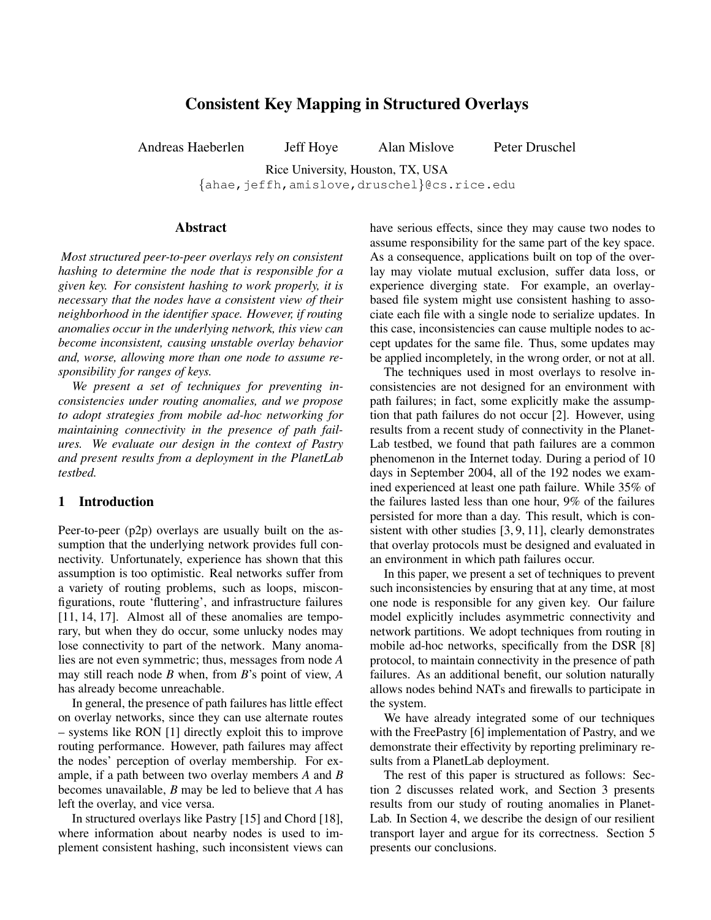# **Consistent Key Mapping in Structured Overlays**

Andreas Haeberlen Jeff Hoye Alan Mislove Peter Druschel

Rice University, Houston, TX, USA {ahae,jeffh,amislove,druschel}@cs.rice.edu

### **Abstract**

*Most structured peer-to-peer overlays rely on consistent hashing to determine the node that is responsible for a given key. For consistent hashing to work properly, it is necessary that the nodes have a consistent view of their neighborhood in the identifier space. However, if routing anomalies occur in the underlying network, this view can become inconsistent, causing unstable overlay behavior and, worse, allowing more than one node to assume responsibility for ranges of keys.*

*We present a set of techniques for preventing inconsistencies under routing anomalies, and we propose to adopt strategies from mobile ad-hoc networking for maintaining connectivity in the presence of path failures. We evaluate our design in the context of Pastry and present results from a deployment in the PlanetLab testbed.*

### **1 Introduction**

Peer-to-peer (p2p) overlays are usually built on the assumption that the underlying network provides full connectivity. Unfortunately, experience has shown that this assumption is too optimistic. Real networks suffer from a variety of routing problems, such as loops, misconfigurations, route 'fluttering', and infrastructure failures [11, 14, 17]. Almost all of these anomalies are temporary, but when they do occur, some unlucky nodes may lose connectivity to part of the network. Many anomalies are not even symmetric; thus, messages from node *A* may still reach node *B* when, from *B*'s point of view, *A* has already become unreachable.

In general, the presence of path failures has little effect on overlay networks, since they can use alternate routes – systems like RON [1] directly exploit this to improve routing performance. However, path failures may affect the nodes' perception of overlay membership. For example, if a path between two overlay members *A* and *B* becomes unavailable, *B* may be led to believe that *A* has left the overlay, and vice versa.

In structured overlays like Pastry [15] and Chord [18], where information about nearby nodes is used to implement consistent hashing, such inconsistent views can have serious effects, since they may cause two nodes to assume responsibility for the same part of the key space. As a consequence, applications built on top of the overlay may violate mutual exclusion, suffer data loss, or experience diverging state. For example, an overlaybased file system might use consistent hashing to associate each file with a single node to serialize updates. In this case, inconsistencies can cause multiple nodes to accept updates for the same file. Thus, some updates may be applied incompletely, in the wrong order, or not at all.

The techniques used in most overlays to resolve inconsistencies are not designed for an environment with path failures; in fact, some explicitly make the assumption that path failures do not occur [2]. However, using results from a recent study of connectivity in the Planet-Lab testbed, we found that path failures are a common phenomenon in the Internet today. During a period of 10 days in September 2004, all of the 192 nodes we examined experienced at least one path failure. While 35% of the failures lasted less than one hour, 9% of the failures persisted for more than a day. This result, which is consistent with other studies [3, 9, 11], clearly demonstrates that overlay protocols must be designed and evaluated in an environment in which path failures occur.

In this paper, we present a set of techniques to prevent such inconsistencies by ensuring that at any time, at most one node is responsible for any given key. Our failure model explicitly includes asymmetric connectivity and network partitions. We adopt techniques from routing in mobile ad-hoc networks, specifically from the DSR [8] protocol, to maintain connectivity in the presence of path failures. As an additional benefit, our solution naturally allows nodes behind NATs and firewalls to participate in the system.

We have already integrated some of our techniques with the FreePastry [6] implementation of Pastry, and we demonstrate their effectivity by reporting preliminary results from a PlanetLab deployment.

The rest of this paper is structured as follows: Section 2 discusses related work, and Section 3 presents results from our study of routing anomalies in Planet-Lab. In Section 4, we describe the design of our resilient transport layer and argue for its correctness. Section 5 presents our conclusions.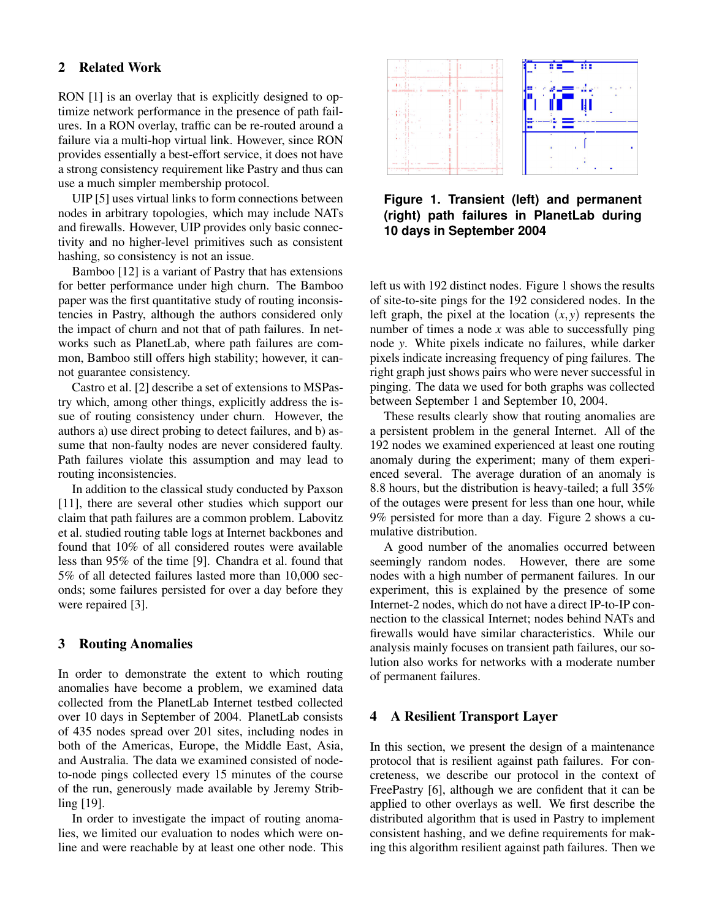# **2 Related Work**

RON [1] is an overlay that is explicitly designed to optimize network performance in the presence of path failures. In a RON overlay, traffic can be re-routed around a failure via a multi-hop virtual link. However, since RON provides essentially a best-effort service, it does not have a strong consistency requirement like Pastry and thus can use a much simpler membership protocol.

UIP [5] uses virtual links to form connections between nodes in arbitrary topologies, which may include NATs and firewalls. However, UIP provides only basic connectivity and no higher-level primitives such as consistent hashing, so consistency is not an issue.

Bamboo [12] is a variant of Pastry that has extensions for better performance under high churn. The Bamboo paper was the first quantitative study of routing inconsistencies in Pastry, although the authors considered only the impact of churn and not that of path failures. In networks such as PlanetLab, where path failures are common, Bamboo still offers high stability; however, it cannot guarantee consistency.

Castro et al. [2] describe a set of extensions to MSPastry which, among other things, explicitly address the issue of routing consistency under churn. However, the authors a) use direct probing to detect failures, and b) assume that non-faulty nodes are never considered faulty. Path failures violate this assumption and may lead to routing inconsistencies.

In addition to the classical study conducted by Paxson [11], there are several other studies which support our claim that path failures are a common problem. Labovitz et al. studied routing table logs at Internet backbones and found that 10% of all considered routes were available less than 95% of the time [9]. Chandra et al. found that 5% of all detected failures lasted more than 10,000 seconds; some failures persisted for over a day before they were repaired [3].

# **3 Routing Anomalies**

In order to demonstrate the extent to which routing anomalies have become a problem, we examined data collected from the PlanetLab Internet testbed collected over 10 days in September of 2004. PlanetLab consists of 435 nodes spread over 201 sites, including nodes in both of the Americas, Europe, the Middle East, Asia, and Australia. The data we examined consisted of nodeto-node pings collected every 15 minutes of the course of the run, generously made available by Jeremy Stribling [19].

In order to investigate the impact of routing anomalies, we limited our evaluation to nodes which were online and were reachable by at least one other node. This



**Figure 1. Transient (left) and permanent (right) path failures in PlanetLab during 10 days in September 2004**

left us with 192 distinct nodes. Figure 1 shows the results of site-to-site pings for the 192 considered nodes. In the left graph, the pixel at the location  $(x, y)$  represents the number of times a node *x* was able to successfully ping node *y*. White pixels indicate no failures, while darker pixels indicate increasing frequency of ping failures. The right graph just shows pairs who were never successful in pinging. The data we used for both graphs was collected between September 1 and September 10, 2004.

These results clearly show that routing anomalies are a persistent problem in the general Internet. All of the 192 nodes we examined experienced at least one routing anomaly during the experiment; many of them experienced several. The average duration of an anomaly is 8.8 hours, but the distribution is heavy-tailed; a full 35% of the outages were present for less than one hour, while 9% persisted for more than a day. Figure 2 shows a cumulative distribution.

A good number of the anomalies occurred between seemingly random nodes. However, there are some nodes with a high number of permanent failures. In our experiment, this is explained by the presence of some Internet-2 nodes, which do not have a direct IP-to-IP connection to the classical Internet; nodes behind NATs and firewalls would have similar characteristics. While our analysis mainly focuses on transient path failures, our solution also works for networks with a moderate number of permanent failures.

# **4 A Resilient Transport Layer**

In this section, we present the design of a maintenance protocol that is resilient against path failures. For concreteness, we describe our protocol in the context of FreePastry [6], although we are confident that it can be applied to other overlays as well. We first describe the distributed algorithm that is used in Pastry to implement consistent hashing, and we define requirements for making this algorithm resilient against path failures. Then we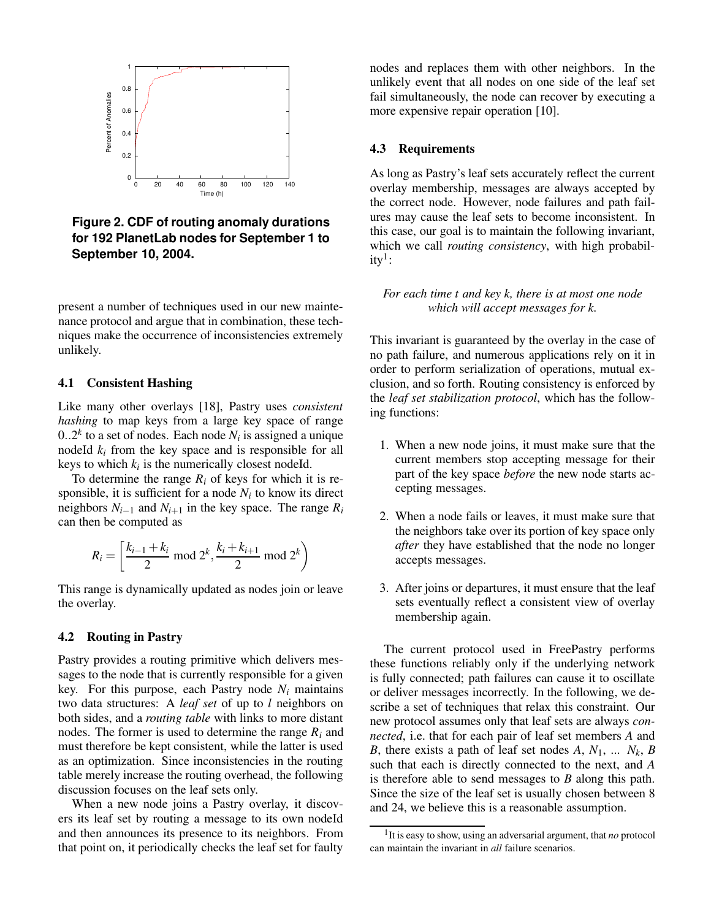

**Figure 2. CDF of routing anomaly durations for 192 PlanetLab nodes for September 1 to September 10, 2004.**

present a number of techniques used in our new maintenance protocol and argue that in combination, these techniques make the occurrence of inconsistencies extremely unlikely.

### **4.1 Consistent Hashing**

Like many other overlays [18], Pastry uses *consistent hashing* to map keys from a large key space of range  $0..2<sup>k</sup>$  to a set of nodes. Each node  $N<sub>i</sub>$  is assigned a unique nodeId  $k_i$  from the key space and is responsible for all keys to which  $k_i$  is the numerically closest nodeId.

To determine the range  $R_i$  of keys for which it is responsible, it is sufficient for a node  $N_i$  to know its direct neighbors  $N_{i-1}$  and  $N_{i+1}$  in the key space. The range  $R_i$ can then be computed as

$$
R_i = \left[\frac{k_{i-1} + k_i}{2} \mod 2^k, \frac{k_i + k_{i+1}}{2} \mod 2^k\right)
$$

This range is dynamically updated as nodes join or leave the overlay.

#### **4.2 Routing in Pastry**

Pastry provides a routing primitive which delivers messages to the node that is currently responsible for a given key. For this purpose, each Pastry node  $N_i$  maintains two data structures: A *leaf set* of up to *l* neighbors on both sides, and a *routing table* with links to more distant nodes. The former is used to determine the range *R<sup>i</sup>* and must therefore be kept consistent, while the latter is used as an optimization. Since inconsistencies in the routing table merely increase the routing overhead, the following discussion focuses on the leaf sets only.

When a new node joins a Pastry overlay, it discovers its leaf set by routing a message to its own nodeId and then announces its presence to its neighbors. From that point on, it periodically checks the leaf set for faulty

nodes and replaces them with other neighbors. In the unlikely event that all nodes on one side of the leaf set fail simultaneously, the node can recover by executing a more expensive repair operation [10].

#### **4.3 Requirements**

As long as Pastry's leaf sets accurately reflect the current overlay membership, messages are always accepted by the correct node. However, node failures and path failures may cause the leaf sets to become inconsistent. In this case, our goal is to maintain the following invariant, which we call *routing consistency*, with high probability $^1$ :

*For each time t and key k, there is at most one node which will accept messages for k.*

This invariant is guaranteed by the overlay in the case of no path failure, and numerous applications rely on it in order to perform serialization of operations, mutual exclusion, and so forth. Routing consistency is enforced by the *leaf set stabilization protocol*, which has the following functions:

- 1. When a new node joins, it must make sure that the current members stop accepting message for their part of the key space *before* the new node starts accepting messages.
- 2. When a node fails or leaves, it must make sure that the neighbors take over its portion of key space only *after* they have established that the node no longer accepts messages.
- 3. After joins or departures, it must ensure that the leaf sets eventually reflect a consistent view of overlay membership again.

The current protocol used in FreePastry performs these functions reliably only if the underlying network is fully connected; path failures can cause it to oscillate or deliver messages incorrectly. In the following, we describe a set of techniques that relax this constraint. Our new protocol assumes only that leaf sets are always *connected*, i.e. that for each pair of leaf set members *A* and *B*, there exists a path of leaf set nodes *A*,  $N_1$ , ...  $N_k$ , *B* such that each is directly connected to the next, and *A* is therefore able to send messages to *B* along this path. Since the size of the leaf set is usually chosen between 8 and 24, we believe this is a reasonable assumption.

<sup>&</sup>lt;sup>1</sup>It is easy to show, using an adversarial argument, that *no* protocol can maintain the invariant in *all* failure scenarios.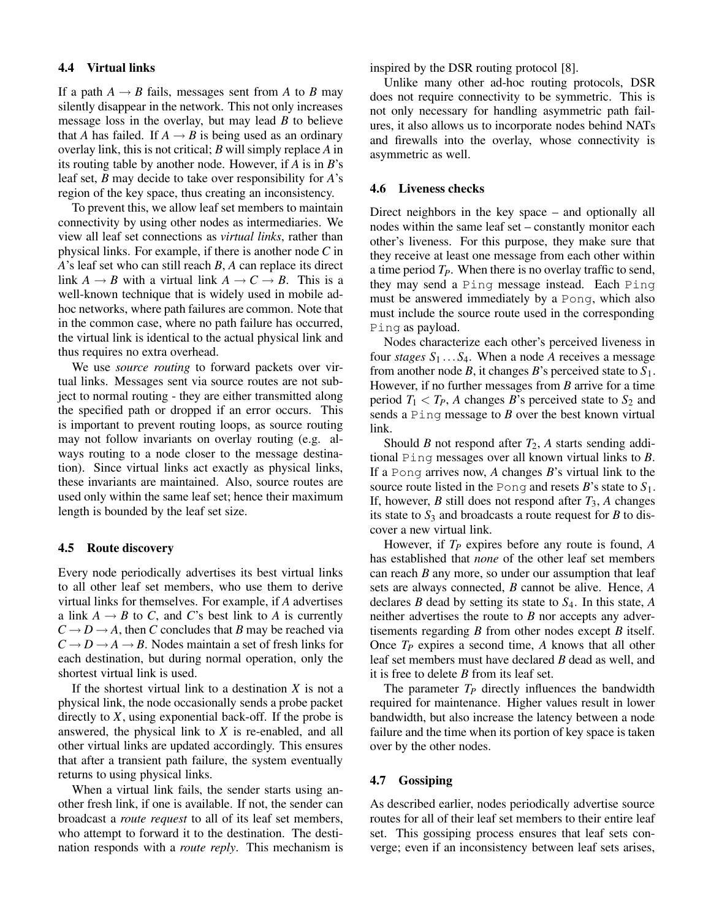#### **4.4 Virtual links**

If a path  $A \rightarrow B$  fails, messages sent from *A* to *B* may silently disappear in the network. This not only increases message loss in the overlay, but may lead *B* to believe that *A* has failed. If  $A \rightarrow B$  is being used as an ordinary overlay link, this is not critical; *B* will simply replace *A* in its routing table by another node. However, if *A* is in *B*'s leaf set, *B* may decide to take over responsibility for *A*'s region of the key space, thus creating an inconsistency.

To prevent this, we allow leaf set members to maintain connectivity by using other nodes as intermediaries. We view all leaf set connections as *virtual links*, rather than physical links. For example, if there is another node *C* in *A*'s leaf set who can still reach *B*, *A* can replace its direct link  $A \rightarrow B$  with a virtual link  $A \rightarrow C \rightarrow B$ . This is a well-known technique that is widely used in mobile adhoc networks, where path failures are common. Note that in the common case, where no path failure has occurred, the virtual link is identical to the actual physical link and thus requires no extra overhead.

We use *source routing* to forward packets over virtual links. Messages sent via source routes are not subject to normal routing - they are either transmitted along the specified path or dropped if an error occurs. This is important to prevent routing loops, as source routing may not follow invariants on overlay routing (e.g. always routing to a node closer to the message destination). Since virtual links act exactly as physical links, these invariants are maintained. Also, source routes are used only within the same leaf set; hence their maximum length is bounded by the leaf set size.

#### **4.5 Route discovery**

Every node periodically advertises its best virtual links to all other leaf set members, who use them to derive virtual links for themselves. For example, if *A* advertises a link  $A \rightarrow B$  to *C*, and *C*'s best link to *A* is currently  $C \rightarrow D \rightarrow A$ , then *C* concludes that *B* may be reached via  $C \rightarrow D \rightarrow A \rightarrow B$ . Nodes maintain a set of fresh links for each destination, but during normal operation, only the shortest virtual link is used.

If the shortest virtual link to a destination *X* is not a physical link, the node occasionally sends a probe packet directly to *X*, using exponential back-off. If the probe is answered, the physical link to *X* is re-enabled, and all other virtual links are updated accordingly. This ensures that after a transient path failure, the system eventually returns to using physical links.

When a virtual link fails, the sender starts using another fresh link, if one is available. If not, the sender can broadcast a *route request* to all of its leaf set members, who attempt to forward it to the destination. The destination responds with a *route reply*. This mechanism is inspired by the DSR routing protocol [8].

Unlike many other ad-hoc routing protocols, DSR does not require connectivity to be symmetric. This is not only necessary for handling asymmetric path failures, it also allows us to incorporate nodes behind NATs and firewalls into the overlay, whose connectivity is asymmetric as well.

#### **4.6 Liveness checks**

Direct neighbors in the key space – and optionally all nodes within the same leaf set – constantly monitor each other's liveness. For this purpose, they make sure that they receive at least one message from each other within a time period *TP*. When there is no overlay traffic to send, they may send a Ping message instead. Each Ping must be answered immediately by a Pong, which also must include the source route used in the corresponding Ping as payload.

Nodes characterize each other's perceived liveness in four *stages*  $S_1 \ldots S_4$ . When a node *A* receives a message from another node *B*, it changes *B*'s perceived state to  $S_1$ . However, if no further messages from *B* arrive for a time period  $T_1 < T_P$ , *A* changes *B*'s perceived state to  $S_2$  and sends a Ping message to *B* over the best known virtual link.

Should *B* not respond after  $T_2$ , *A* starts sending additional Ping messages over all known virtual links to *B*. If a Pong arrives now, *A* changes *B*'s virtual link to the source route listed in the Pong and resets  $B$ 's state to  $S_1$ . If, however, *B* still does not respond after  $T_3$ , *A* changes its state to  $S_3$  and broadcasts a route request for *B* to discover a new virtual link.

However, if *T<sup>P</sup>* expires before any route is found, *A* has established that *none* of the other leaf set members can reach *B* any more, so under our assumption that leaf sets are always connected, *B* cannot be alive. Hence, *A* declares *B* dead by setting its state to *S*4. In this state, *A* neither advertises the route to *B* nor accepts any advertisements regarding *B* from other nodes except *B* itself. Once *T<sup>P</sup>* expires a second time, *A* knows that all other leaf set members must have declared *B* dead as well, and it is free to delete *B* from its leaf set.

The parameter *T<sup>P</sup>* directly influences the bandwidth required for maintenance. Higher values result in lower bandwidth, but also increase the latency between a node failure and the time when its portion of key space is taken over by the other nodes.

### **4.7 Gossiping**

As described earlier, nodes periodically advertise source routes for all of their leaf set members to their entire leaf set. This gossiping process ensures that leaf sets converge; even if an inconsistency between leaf sets arises,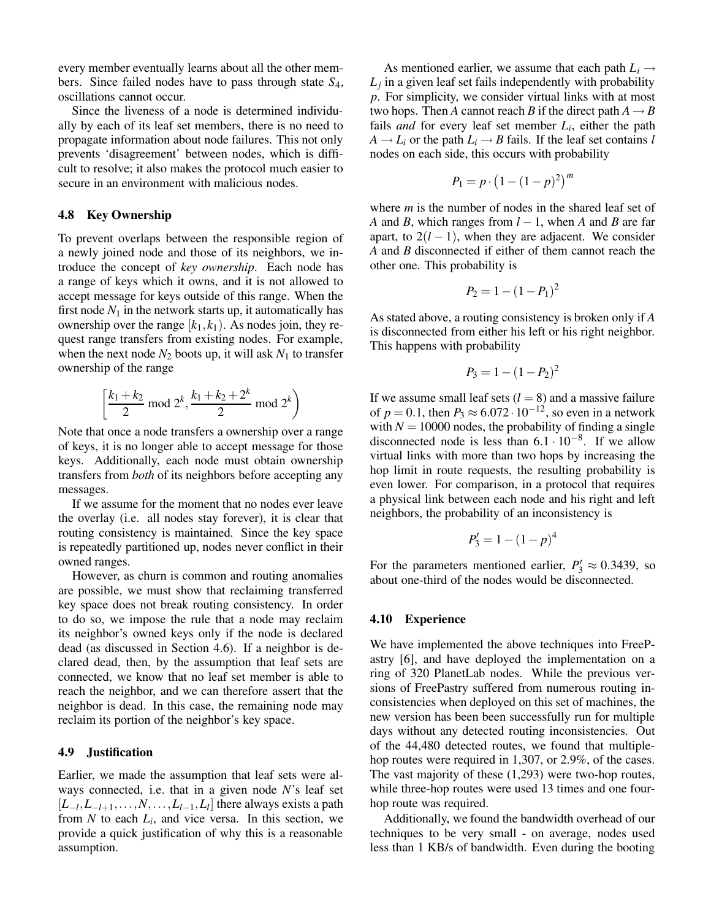every member eventually learns about all the other members. Since failed nodes have to pass through state *S*4, oscillations cannot occur.

Since the liveness of a node is determined individually by each of its leaf set members, there is no need to propagate information about node failures. This not only prevents 'disagreement' between nodes, which is difficult to resolve; it also makes the protocol much easier to secure in an environment with malicious nodes.

#### **4.8 Key Ownership**

To prevent overlaps between the responsible region of a newly joined node and those of its neighbors, we introduce the concept of *key ownership*. Each node has a range of keys which it owns, and it is not allowed to accept message for keys outside of this range. When the first node  $N_1$  in the network starts up, it automatically has ownership over the range  $[k_1, k_1)$ . As nodes join, they request range transfers from existing nodes. For example, when the next node  $N_2$  boots up, it will ask  $N_1$  to transfer ownership of the range

$$
\left[\frac{k_1 + k_2}{2} \mod 2^k, \frac{k_1 + k_2 + 2^k}{2} \mod 2^k\right)
$$

Note that once a node transfers a ownership over a range of keys, it is no longer able to accept message for those keys. Additionally, each node must obtain ownership transfers from *both* of its neighbors before accepting any messages.

If we assume for the moment that no nodes ever leave the overlay (i.e. all nodes stay forever), it is clear that routing consistency is maintained. Since the key space is repeatedly partitioned up, nodes never conflict in their owned ranges.

However, as churn is common and routing anomalies are possible, we must show that reclaiming transferred key space does not break routing consistency. In order to do so, we impose the rule that a node may reclaim its neighbor's owned keys only if the node is declared dead (as discussed in Section 4.6). If a neighbor is declared dead, then, by the assumption that leaf sets are connected, we know that no leaf set member is able to reach the neighbor, and we can therefore assert that the neighbor is dead. In this case, the remaining node may reclaim its portion of the neighbor's key space.

#### **4.9 Justification**

Earlier, we made the assumption that leaf sets were always connected, i.e. that in a given node *N*'s leaf set  $[L_{-l}, L_{-l+1}, \ldots, N, \ldots, L_{l-1}, L_l]$  there always exists a path from  $N$  to each  $L_i$ , and vice versa. In this section, we provide a quick justification of why this is a reasonable assumption.

As mentioned earlier, we assume that each path  $L_i \rightarrow$ *Lj* in a given leaf set fails independently with probability *p*. For simplicity, we consider virtual links with at most two hops. Then *A* cannot reach *B* if the direct path  $A \rightarrow B$ fails *and* for every leaf set member *L<sup>i</sup>* , either the path  $A \rightarrow L_i$  or the path  $L_i \rightarrow B$  fails. If the leaf set contains *l* nodes on each side, this occurs with probability

$$
P_1 = p \cdot \left(1 - (1 - p)^2\right)^m
$$

where *m* is the number of nodes in the shared leaf set of *A* and *B*, which ranges from  $l - 1$ , when *A* and *B* are far apart, to  $2(l-1)$ , when they are adjacent. We consider *A* and *B* disconnected if either of them cannot reach the other one. This probability is

$$
P_2 = 1 - (1 - P_1)^2
$$

As stated above, a routing consistency is broken only if *A* is disconnected from either his left or his right neighbor. This happens with probability

$$
P_3 = 1 - (1 - P_2)^2
$$

If we assume small leaf sets  $(l = 8)$  and a massive failure of  $p = 0.1$ , then  $P_3 \approx 6.072 \cdot 10^{-12}$ , so even in a network with  $N = 10000$  nodes, the probability of finding a single disconnected node is less than  $6.1 \cdot 10^{-8}$ . If we allow virtual links with more than two hops by increasing the hop limit in route requests, the resulting probability is even lower. For comparison, in a protocol that requires a physical link between each node and his right and left neighbors, the probability of an inconsistency is

$$
P_3' = 1 - (1 - p)^4
$$

For the parameters mentioned earlier,  $P'_3 \approx 0.3439$ , so about one-third of the nodes would be disconnected.

#### **4.10 Experience**

We have implemented the above techniques into FreePastry [6], and have deployed the implementation on a ring of 320 PlanetLab nodes. While the previous versions of FreePastry suffered from numerous routing inconsistencies when deployed on this set of machines, the new version has been been successfully run for multiple days without any detected routing inconsistencies. Out of the 44,480 detected routes, we found that multiplehop routes were required in 1,307, or 2.9%, of the cases. The vast majority of these (1,293) were two-hop routes, while three-hop routes were used 13 times and one fourhop route was required.

Additionally, we found the bandwidth overhead of our techniques to be very small - on average, nodes used less than 1 KB/s of bandwidth. Even during the booting